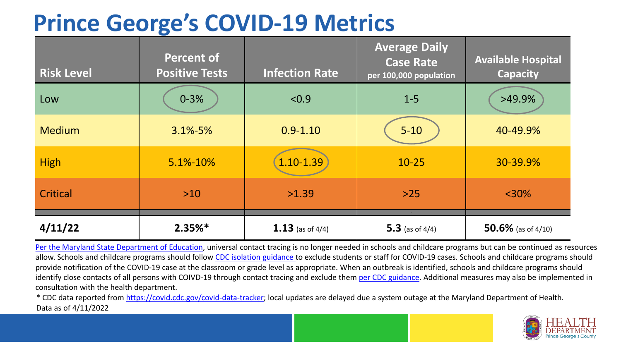## **Prince George's COVID-19 Metrics**

| <b>Risk Level</b> | <b>Percent of</b><br><b>Positive Tests</b> | <b>Infection Rate</b> | <b>Average Daily</b><br><b>Case Rate</b><br>per 100,000 population | <b>Available Hospital</b><br><b>Capacity</b> |
|-------------------|--------------------------------------------|-----------------------|--------------------------------------------------------------------|----------------------------------------------|
| Low               | $0 - 3%$                                   | < 0.9                 | $1 - 5$                                                            | $>49.9\%$                                    |
| <b>Medium</b>     | $3.1\% - 5\%$                              | $0.9 - 1.10$          | $5 - 10$                                                           | 40-49.9%                                     |
| <b>High</b>       | 5.1%-10%                                   | 1.10-1.39             | $10 - 25$                                                          | 30-39.9%                                     |
| Critical          | $>10$                                      | >1.39                 | $>25$                                                              | $<$ 30%                                      |
| 4/11/22           | $2.35%$ *                                  | 1.13 (as of $4/4$ )   | 5.3 (as of $4/4$ )                                                 | 50.6% (as of $4/10$ )                        |

[Per the Maryland State Department of Education,](https://earlychildhood.marylandpublicschools.org/system/files/filedepot/3/covid_guidance_full_080420.pdf) universal contact tracing is no longer needed in schools and childcare programs but can be continued as resources allow. Schools and childcare programs should follow [CDC isolation guidance t](https://www.cdc.gov/coronavirus/2019-ncov/community/schools-childcare/k-12-contact-tracing/about-isolation.html)o exclude students or staff for COVID-19 cases. Schools and childcare programs should provide notification of the COVID-19 case at the classroom or grade level as appropriate. When an outbreak is identified, schools and childcare programs should identify close contacts of all persons with COIVD-19 through contact tracing and exclude them [per CDC guidance](https://www.cdc.gov/coronavirus/2019-ncov/your-health/quarantine-isolation.html). Additional measures may also be implemented in consultation with the health department.

\* CDC data reported from [https://covid.cdc.gov/covid-data-tracker;](https://covid.cdc.gov/covid-data-tracker) local updates are delayed due a system outage at the Maryland Department of Health. Data as of 4/11/2022

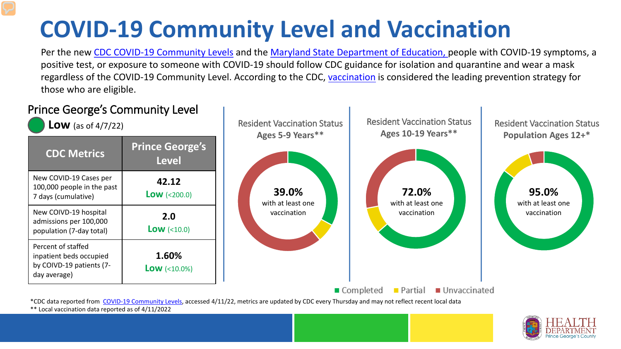## **COVID-19 Community Level and Vaccination**

Per the new [CDC COVID-19 Community Levels](https://www.cdc.gov/coronavirus/2019-ncov/science/community-levels.html#anchor_82254) and the [Maryland State Department of Education, p](https://earlychildhood.marylandpublicschools.org/system/files/filedepot/3/covid_guidance_full_080420.pdf)eople with COVID-19 symptoms, a positive test, or exposure to someone with COVID-19 should follow CDC guidance for isolation and quarantine and wear a mask regardless of the COVID-19 Community Level. According to the CDC, [vaccination](https://www.cdc.gov/coronavirus/2019-ncov/prevent-getting-sick/prevention.html) is considered the leading prevention strategy for those who are eligible.



\*\* Local vaccination data reported as of 4/11/2022

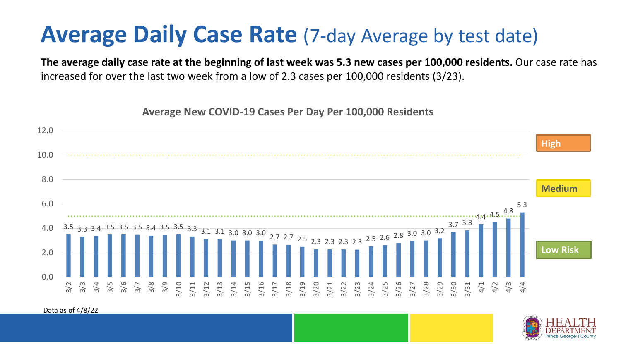## **Average Daily Case Rate** (7-day Average by test date)

**The average daily case rate at the beginning of last week was 5.3 new cases per 100,000 residents.** Our case rate has increased for over the last two week from a low of 2.3 cases per 100,000 residents (3/23).

**Average New COVID-19 Cases Per Day Per 100,000 Residents**



Data as of 4/8/22